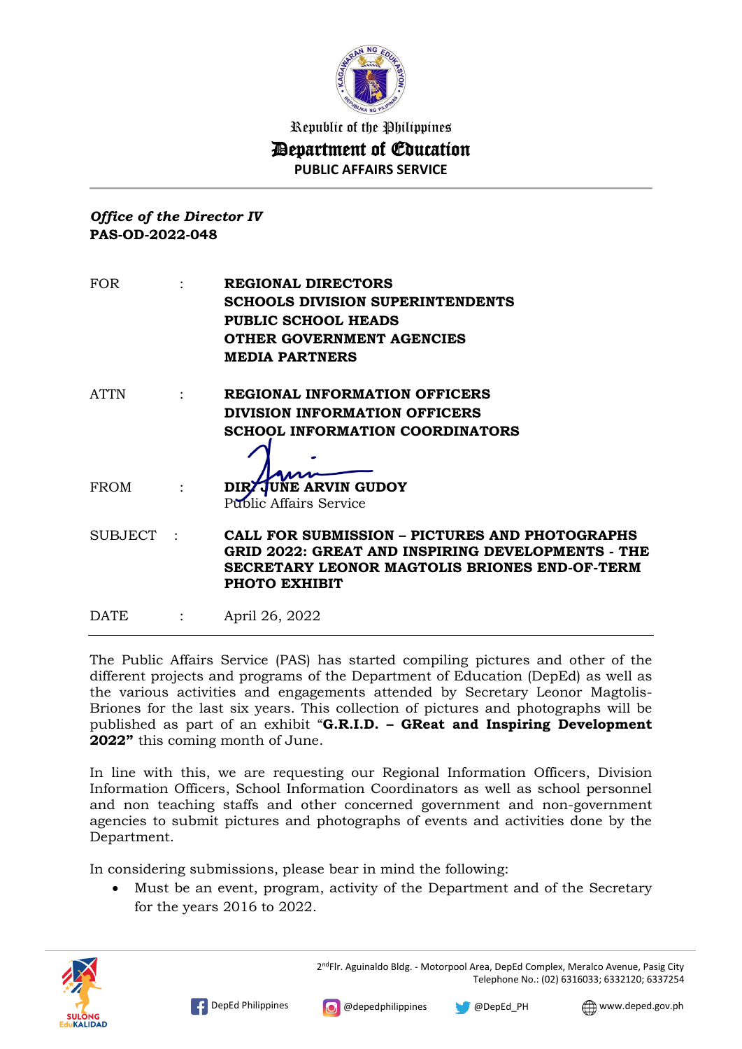

## *Office of the Director IV* **PAS-OD-2022-048**

| <b>FOR</b> | REGIONAL DIRECTORS<br>SCHOOLS DIVISION SUPERINTENDENTS<br><b>PUBLIC SCHOOL HEADS</b><br>OTHER GOVERNMENT AGENCIES<br><b>MEDIA PARTNERS</b>                                   |
|------------|------------------------------------------------------------------------------------------------------------------------------------------------------------------------------|
| ATTN       | <b>REGIONAL INFORMATION OFFICERS</b><br>DIVISION INFORMATION OFFICERS                                                                                                        |
|            | <b>SCHOOL INFORMATION COORDINATORS</b>                                                                                                                                       |
| FROM       | DIRZ JUNE ARVIN GUDOY<br><b>Public Affairs Service</b>                                                                                                                       |
| SUBJECT :  | <b>CALL FOR SUBMISSION - PICTURES AND PHOTOGRAPHS</b><br>GRID 2022: GREAT AND INSPIRING DEVELOPMENTS - THE<br>SECRETARY LEONOR MAGTOLIS BRIONES END-OF-TERM<br>PHOTO EXHIBIT |
| DATE       | April 26, 2022                                                                                                                                                               |

The Public Affairs Service (PAS) has started compiling pictures and other of the different projects and programs of the Department of Education (DepEd) as well as the various activities and engagements attended by Secretary Leonor Magtolis-Briones for the last six years. This collection of pictures and photographs will be published as part of an exhibit "**G.R.I.D. – GReat and Inspiring Development 2022"** this coming month of June.

In line with this, we are requesting our Regional Information Officers, Division Information Officers, School Information Coordinators as well as school personnel and non teaching staffs and other concerned government and non-government agencies to submit pictures and photographs of events and activities done by the Department.

In considering submissions, please bear in mind the following:

 Must be an event, program, activity of the Department and of the Secretary for the years 2016 to 2022.



2<sup>nd</sup>Flr. Aguinaldo Bldg. - Motorpool Area, DepEd Complex, Meralco Avenue, Pasig City Telephone No.: (02) 6316033; 6332120; 6337254

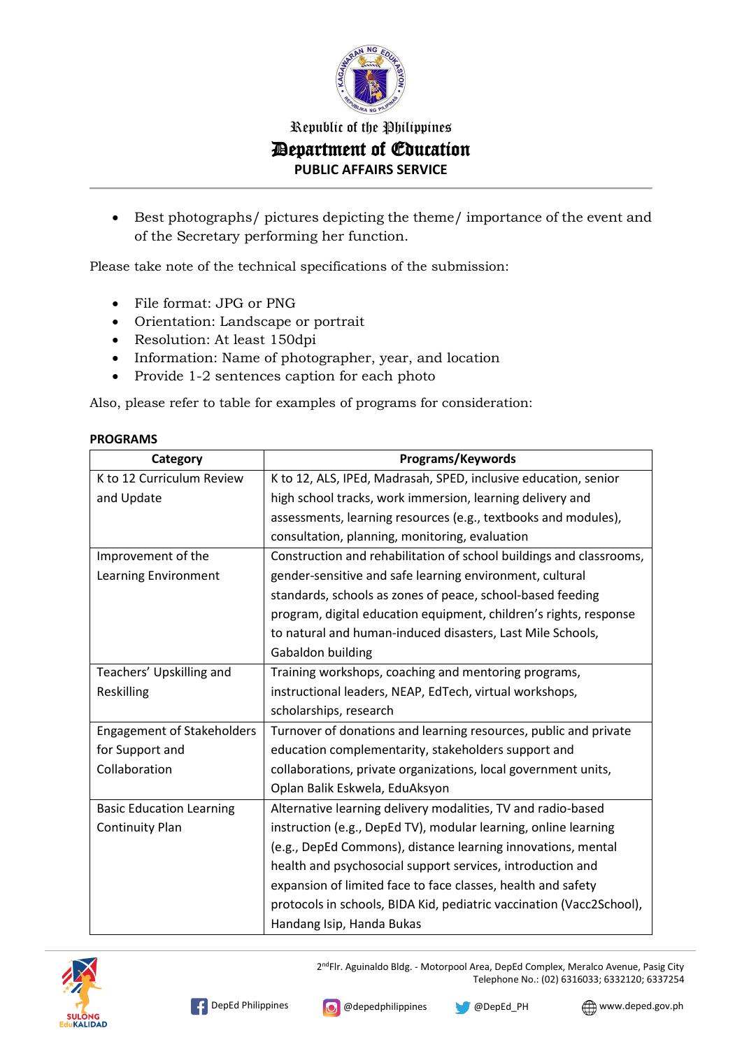

 Best photographs/ pictures depicting the theme/ importance of the event and of the Secretary performing her function.

Please take note of the technical specifications of the submission:

- File format: JPG or PNG
- Orientation: Landscape or portrait
- Resolution: At least 150dpi
- Information: Name of photographer, year, and location
- Provide 1-2 sentences caption for each photo

Also, please refer to table for examples of programs for consideration:

| Category                          | Programs/Keywords                                                    |  |  |
|-----------------------------------|----------------------------------------------------------------------|--|--|
| K to 12 Curriculum Review         | K to 12, ALS, IPEd, Madrasah, SPED, inclusive education, senior      |  |  |
| and Update                        | high school tracks, work immersion, learning delivery and            |  |  |
|                                   | assessments, learning resources (e.g., textbooks and modules),       |  |  |
|                                   | consultation, planning, monitoring, evaluation                       |  |  |
| Improvement of the                | Construction and rehabilitation of school buildings and classrooms,  |  |  |
| Learning Environment              | gender-sensitive and safe learning environment, cultural             |  |  |
|                                   | standards, schools as zones of peace, school-based feeding           |  |  |
|                                   | program, digital education equipment, children's rights, response    |  |  |
|                                   | to natural and human-induced disasters, Last Mile Schools,           |  |  |
|                                   | Gabaldon building                                                    |  |  |
| Teachers' Upskilling and          | Training workshops, coaching and mentoring programs,                 |  |  |
| Reskilling                        | instructional leaders, NEAP, EdTech, virtual workshops,              |  |  |
|                                   | scholarships, research                                               |  |  |
| <b>Engagement of Stakeholders</b> | Turnover of donations and learning resources, public and private     |  |  |
| for Support and                   | education complementarity, stakeholders support and                  |  |  |
| Collaboration                     | collaborations, private organizations, local government units,       |  |  |
|                                   | Oplan Balik Eskwela, EduAksyon                                       |  |  |
| <b>Basic Education Learning</b>   | Alternative learning delivery modalities, TV and radio-based         |  |  |
| <b>Continuity Plan</b>            | instruction (e.g., DepEd TV), modular learning, online learning      |  |  |
|                                   | (e.g., DepEd Commons), distance learning innovations, mental         |  |  |
|                                   | health and psychosocial support services, introduction and           |  |  |
|                                   | expansion of limited face to face classes, health and safety         |  |  |
|                                   | protocols in schools, BIDA Kid, pediatric vaccination (Vacc2School), |  |  |
|                                   | Handang Isip, Handa Bukas                                            |  |  |

#### **PROGRAMS**



2<sup>nd</sup>Flr. Aguinaldo Bldg. - Motorpool Area, DepEd Complex, Meralco Avenue, Pasig City Telephone No.: (02) 6316033; 6332120; 6337254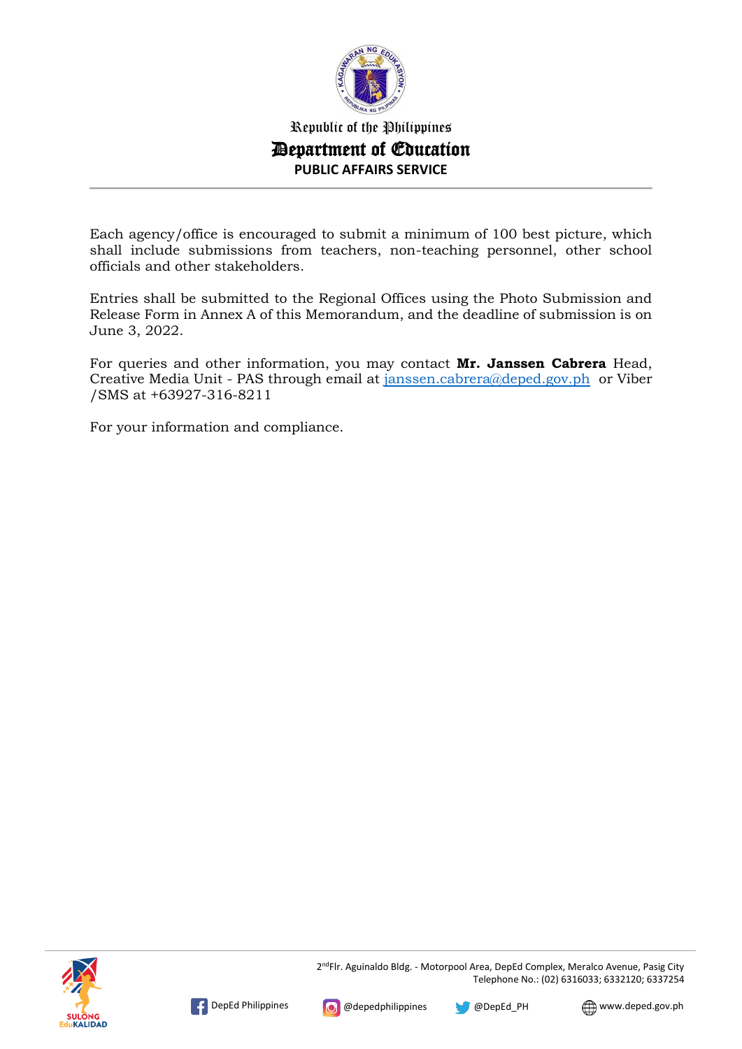

Each agency/office is encouraged to submit a minimum of 100 best picture, which shall include submissions from teachers, non-teaching personnel, other school officials and other stakeholders.

Entries shall be submitted to the Regional Offices using the Photo Submission and Release Form in Annex A of this Memorandum, and the deadline of submission is on June 3, 2022.

For queries and other information, you may contact **Mr. Janssen Cabrera** Head, Creative Media Unit - PAS through email at [janssen.cabrera@deped.gov.ph](mailto:janssen.cabrera@deped.gov.ph) or Viber /SMS at +63927-316-8211

For your information and compliance.